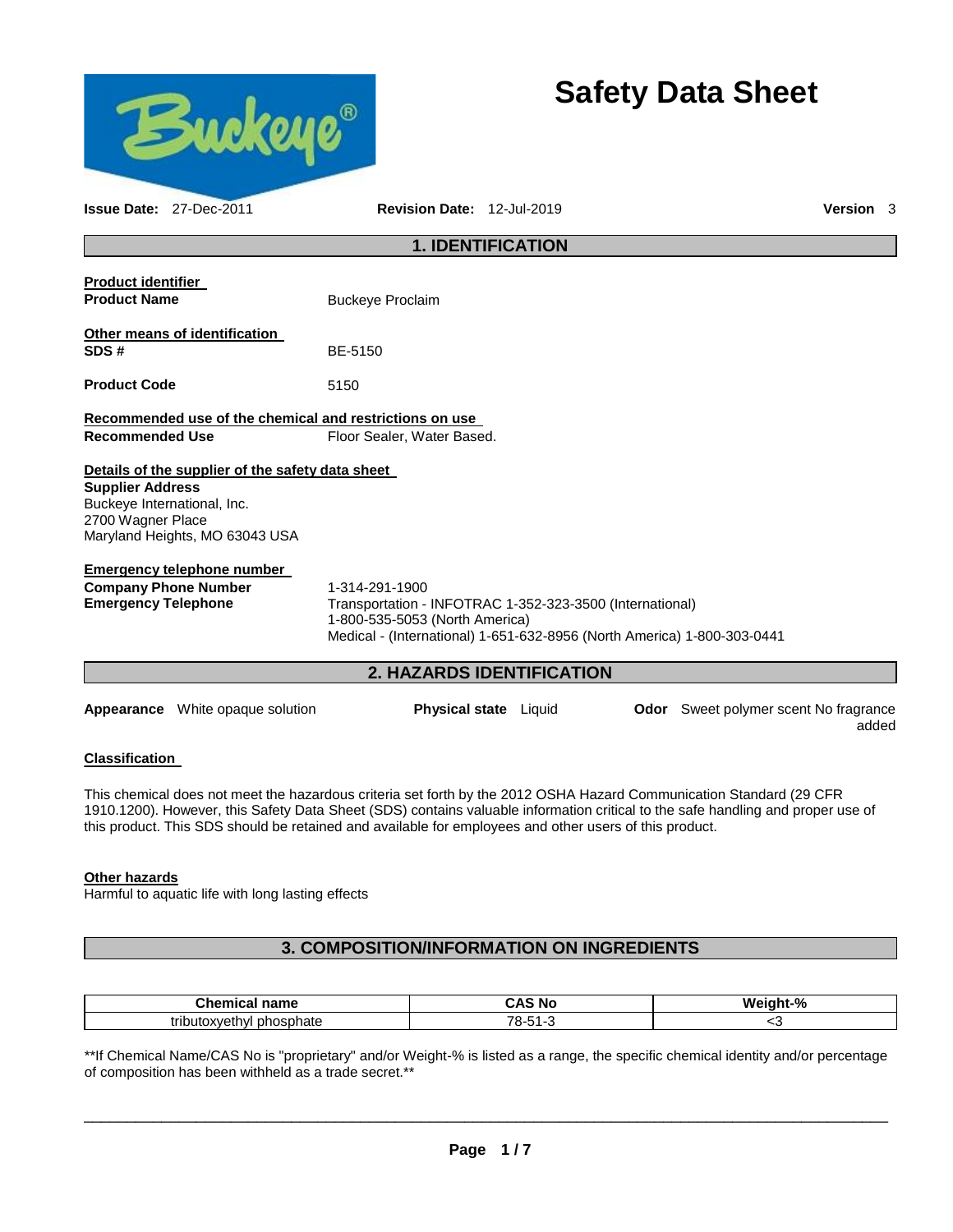

# **Safety Data Sheet**

| <b>Issue Date: 27-Dec-2011</b>                            |                                                  | Revision Date: 12-Jul-2019                                                                                                                                                              |                           |                                              | <b>Version</b> 3 |  |
|-----------------------------------------------------------|--------------------------------------------------|-----------------------------------------------------------------------------------------------------------------------------------------------------------------------------------------|---------------------------|----------------------------------------------|------------------|--|
|                                                           |                                                  |                                                                                                                                                                                         | <b>1. IDENTIFICATION</b>  |                                              |                  |  |
| <b>Product identifier</b><br><b>Product Name</b>          |                                                  | <b>Buckeye Proclaim</b>                                                                                                                                                                 |                           |                                              |                  |  |
| SDS#                                                      | Other means of identification                    | BE-5150                                                                                                                                                                                 |                           |                                              |                  |  |
| <b>Product Code</b>                                       |                                                  | 5150                                                                                                                                                                                    |                           |                                              |                  |  |
|                                                           |                                                  | Recommended use of the chemical and restrictions on use                                                                                                                                 |                           |                                              |                  |  |
| <b>Recommended Use</b>                                    |                                                  | Floor Sealer, Water Based.                                                                                                                                                              |                           |                                              |                  |  |
| <b>Supplier Address</b>                                   | Details of the supplier of the safety data sheet |                                                                                                                                                                                         |                           |                                              |                  |  |
| Buckeye International, Inc.<br>2700 Wagner Place          | Maryland Heights, MO 63043 USA                   |                                                                                                                                                                                         |                           |                                              |                  |  |
|                                                           | <b>Emergency telephone number</b>                |                                                                                                                                                                                         |                           |                                              |                  |  |
| <b>Company Phone Number</b><br><b>Emergency Telephone</b> |                                                  | 1-314-291-1900<br>Transportation - INFOTRAC 1-352-323-3500 (International)<br>1-800-535-5053 (North America)<br>Medical - (International) 1-651-632-8956 (North America) 1-800-303-0441 |                           |                                              |                  |  |
|                                                           |                                                  |                                                                                                                                                                                         | 2. HAZARDS IDENTIFICATION |                                              |                  |  |
|                                                           | <b>Appearance</b> White opaque solution          |                                                                                                                                                                                         | Physical state Liquid     | <b>Odor</b> Sweet polymer scent No fragrance | added            |  |

### **Classification**

This chemical does not meet the hazardous criteria set forth by the 2012 OSHA Hazard Communication Standard (29 CFR 1910.1200). However, this Safety Data Sheet (SDS) contains valuable information critical to the safe handling and proper use of this product. This SDS should be retained and available for employees and other users of this product.

### **Other hazards**

Harmful to aquatic life with long lasting effects

# **3. COMPOSITION/INFORMATION ON INGREDIENTS**

| <b>Chemic.</b><br>name<br>шел   | . .<br>∼ ^<br><b>NC</b><br>. <u>.</u>  | ---<br>-04<br>W.<br>$\sim 10^{-11}$<br>70 |
|---------------------------------|----------------------------------------|-------------------------------------------|
| phosphate<br>tribi.<br>utoxveth | $\overline{\phantom{a}}$<br><br>$\sim$ | ∼                                         |

\*\*If Chemical Name/CAS No is "proprietary" and/or Weight-% is listed as a range, the specific chemical identity and/or percentage of composition has been withheld as a trade secret.\*\*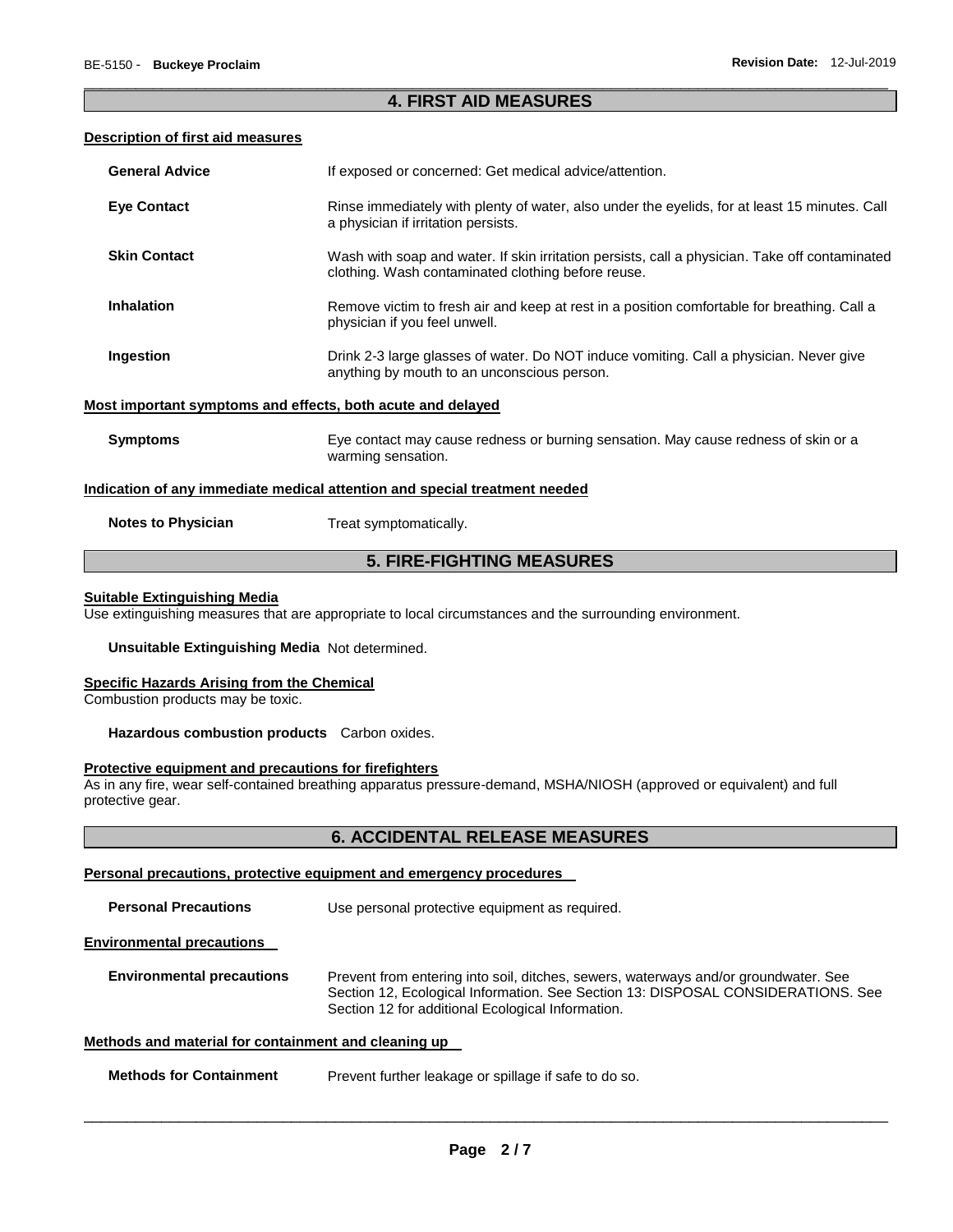#### \_\_\_\_\_\_\_\_\_\_\_\_\_\_\_\_\_\_\_\_\_\_\_\_\_\_\_\_\_\_\_\_\_\_\_\_\_\_\_\_\_\_\_\_\_\_\_\_\_\_\_\_\_\_\_\_\_\_\_\_\_\_\_\_\_\_\_\_\_\_\_\_\_\_\_\_\_\_\_\_\_\_\_\_\_\_\_\_\_\_\_\_\_ **4. FIRST AID MEASURES**

#### **Description of first aid measures**

| <b>Eye Contact</b><br>Rinse immediately with plenty of water, also under the eyelids, for at least 15 minutes. Call<br>a physician if irritation persists.<br><b>Skin Contact</b><br>clothing. Wash contaminated clothing before reuse.<br><b>Inhalation</b><br>Remove victim to fresh air and keep at rest in a position comfortable for breathing. Call a<br>physician if you feel unwell.<br>Ingestion<br>Drink 2-3 large glasses of water. Do NOT induce vomiting. Call a physician. Never give<br>anything by mouth to an unconscious person.<br>Most important symptoms and effects, both acute and delayed<br><b>Symptoms</b><br>Eye contact may cause redness or burning sensation. May cause redness of skin or a<br>warming sensation.<br>Indication of any immediate medical attention and special treatment needed<br><b>Notes to Physician</b><br>Treat symptomatically. | <b>General Advice</b> | If exposed or concerned: Get medical advice/attention.                                         |
|---------------------------------------------------------------------------------------------------------------------------------------------------------------------------------------------------------------------------------------------------------------------------------------------------------------------------------------------------------------------------------------------------------------------------------------------------------------------------------------------------------------------------------------------------------------------------------------------------------------------------------------------------------------------------------------------------------------------------------------------------------------------------------------------------------------------------------------------------------------------------------------|-----------------------|------------------------------------------------------------------------------------------------|
|                                                                                                                                                                                                                                                                                                                                                                                                                                                                                                                                                                                                                                                                                                                                                                                                                                                                                       |                       |                                                                                                |
|                                                                                                                                                                                                                                                                                                                                                                                                                                                                                                                                                                                                                                                                                                                                                                                                                                                                                       |                       | Wash with soap and water. If skin irritation persists, call a physician. Take off contaminated |
|                                                                                                                                                                                                                                                                                                                                                                                                                                                                                                                                                                                                                                                                                                                                                                                                                                                                                       |                       |                                                                                                |
|                                                                                                                                                                                                                                                                                                                                                                                                                                                                                                                                                                                                                                                                                                                                                                                                                                                                                       |                       |                                                                                                |
|                                                                                                                                                                                                                                                                                                                                                                                                                                                                                                                                                                                                                                                                                                                                                                                                                                                                                       |                       |                                                                                                |
|                                                                                                                                                                                                                                                                                                                                                                                                                                                                                                                                                                                                                                                                                                                                                                                                                                                                                       |                       |                                                                                                |
|                                                                                                                                                                                                                                                                                                                                                                                                                                                                                                                                                                                                                                                                                                                                                                                                                                                                                       |                       |                                                                                                |
|                                                                                                                                                                                                                                                                                                                                                                                                                                                                                                                                                                                                                                                                                                                                                                                                                                                                                       |                       |                                                                                                |

# **5. FIRE-FIGHTING MEASURES**

#### **Suitable Extinguishing Media**

Use extinguishing measures that are appropriate to local circumstances and the surrounding environment.

**Unsuitable Extinguishing Media** Not determined.

#### **Specific Hazards Arising from the Chemical**

Combustion products may be toxic.

**Hazardous combustion products** Carbon oxides.

#### **Protective equipment and precautions for firefighters**

As in any fire, wear self-contained breathing apparatus pressure-demand, MSHA/NIOSH (approved or equivalent) and full protective gear.

#### **6. ACCIDENTAL RELEASE MEASURES**

#### **Personal precautions, protective equipment and emergency procedures**

| <b>Personal Precautions</b>      | Use personal protective equipment as required. |
|----------------------------------|------------------------------------------------|
| <b>Environmental precautions</b> |                                                |

**Environmental precautions** Prevent from entering into soil, ditches, sewers, waterways and/or groundwater. See Section 12, Ecological Information. See Section 13: DISPOSAL CONSIDERATIONS. See Section 12 for additional Ecological Information.

#### **Methods and material for containment and cleaning up**

| <b>Methods for Containment</b> | Prevent further leakage or spillage if safe to do so. |
|--------------------------------|-------------------------------------------------------|
|--------------------------------|-------------------------------------------------------|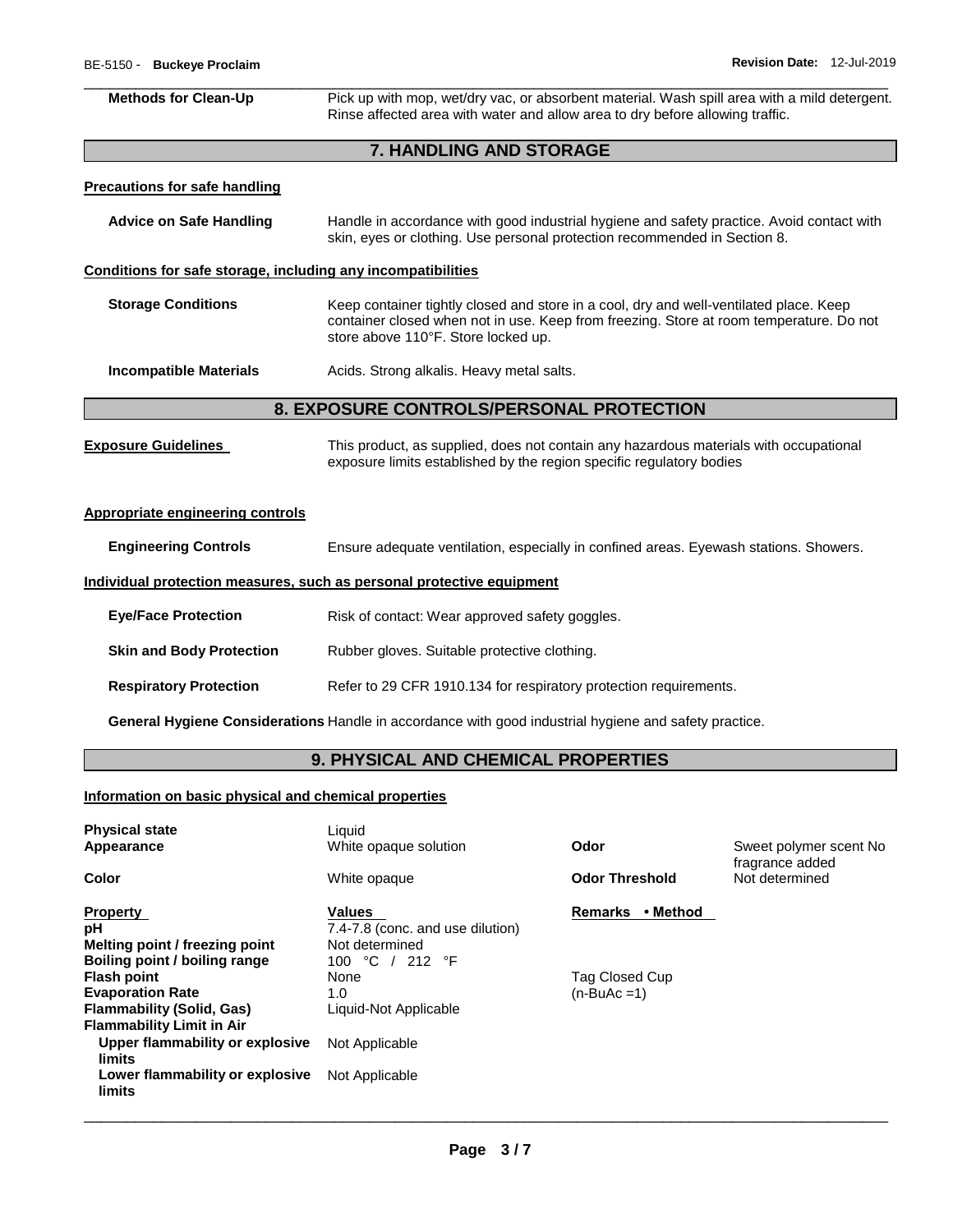I

I

| Pick up with mop, wet/dry vac, or absorbent material. Wash spill area with a mild detergent.<br>Rinse affected area with water and allow area to dry before allowing traffic.                                            |  |  |  |  |
|--------------------------------------------------------------------------------------------------------------------------------------------------------------------------------------------------------------------------|--|--|--|--|
| <b>7. HANDLING AND STORAGE</b>                                                                                                                                                                                           |  |  |  |  |
|                                                                                                                                                                                                                          |  |  |  |  |
| Handle in accordance with good industrial hygiene and safety practice. Avoid contact with<br>skin, eyes or clothing. Use personal protection recommended in Section 8.                                                   |  |  |  |  |
| Conditions for safe storage, including any incompatibilities                                                                                                                                                             |  |  |  |  |
| Keep container tightly closed and store in a cool, dry and well-ventilated place. Keep<br>container closed when not in use. Keep from freezing. Store at room temperature. Do not<br>store above 110°F. Store locked up. |  |  |  |  |
| Acids. Strong alkalis. Heavy metal salts.                                                                                                                                                                                |  |  |  |  |
| 8. EXPOSURE CONTROLS/PERSONAL PROTECTION                                                                                                                                                                                 |  |  |  |  |
| This product, as supplied, does not contain any hazardous materials with occupational<br>exposure limits established by the region specific regulatory bodies                                                            |  |  |  |  |
|                                                                                                                                                                                                                          |  |  |  |  |
| Ensure adequate ventilation, especially in confined areas. Eyewash stations. Showers.                                                                                                                                    |  |  |  |  |
| Individual protection measures, such as personal protective equipment                                                                                                                                                    |  |  |  |  |
| Risk of contact: Wear approved safety goggles.                                                                                                                                                                           |  |  |  |  |
| Rubber gloves. Suitable protective clothing.                                                                                                                                                                             |  |  |  |  |
| Refer to 29 CFR 1910.134 for respiratory protection requirements.                                                                                                                                                        |  |  |  |  |
| General Hygiene Considerations Handle in accordance with good industrial hygiene and safety practice.                                                                                                                    |  |  |  |  |
|                                                                                                                                                                                                                          |  |  |  |  |

# **9. PHYSICAL AND CHEMICAL PROPERTIES**

# **Information on basic physical and chemical properties**

| <b>Physical state</b><br>Appearance                                                                                                                                                                                                                  | Liquid<br>White opaque solution                                                                                                                  | Odor                                                         | Sweet polymer scent No.<br>fragrance added |
|------------------------------------------------------------------------------------------------------------------------------------------------------------------------------------------------------------------------------------------------------|--------------------------------------------------------------------------------------------------------------------------------------------------|--------------------------------------------------------------|--------------------------------------------|
| Color                                                                                                                                                                                                                                                | White opaque                                                                                                                                     | <b>Odor Threshold</b>                                        | Not determined                             |
| <b>Property</b><br>рH<br>Melting point / freezing point<br>Boiling point / boiling range<br><b>Flash point</b><br><b>Evaporation Rate</b><br><b>Flammability (Solid, Gas)</b><br><b>Flammability Limit in Air</b><br>Upper flammability or explosive | <b>Values</b><br>7.4-7.8 (conc. and use dilution)<br>Not determined<br>100 °C / 212 °F<br>None<br>1.0<br>Liquid-Not Applicable<br>Not Applicable | • Method<br><b>Remarks</b><br>Tag Closed Cup<br>$(n-BuAc=1)$ |                                            |
| limits<br>Lower flammability or explosive<br>limits                                                                                                                                                                                                  | Not Applicable                                                                                                                                   |                                                              |                                            |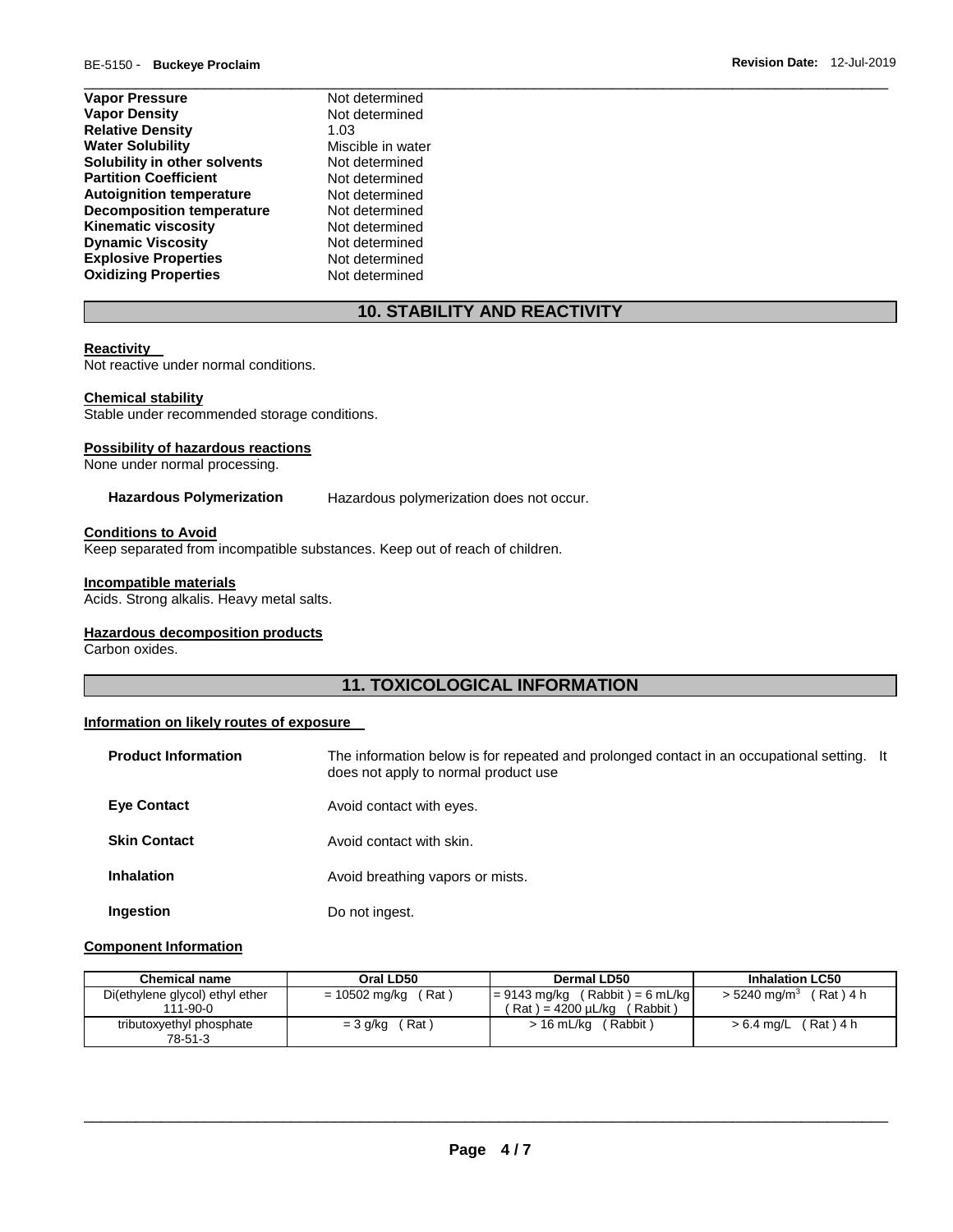| <b>Vapor Pressure</b>            | Not determined    |
|----------------------------------|-------------------|
| <b>Vapor Density</b>             | Not determined    |
| <b>Relative Density</b>          | 1.03              |
| <b>Water Solubility</b>          | Miscible in water |
| Solubility in other solvents     | Not determined    |
| <b>Partition Coefficient</b>     | Not determined    |
| <b>Autoignition temperature</b>  | Not determined    |
| <b>Decomposition temperature</b> | Not determined    |
| <b>Kinematic viscosity</b>       | Not determined    |
| <b>Dynamic Viscosity</b>         | Not determined    |
| <b>Explosive Properties</b>      | Not determined    |
| <b>Oxidizing Properties</b>      | Not determined    |

# **10. STABILITY AND REACTIVITY**

\_\_\_\_\_\_\_\_\_\_\_\_\_\_\_\_\_\_\_\_\_\_\_\_\_\_\_\_\_\_\_\_\_\_\_\_\_\_\_\_\_\_\_\_\_\_\_\_\_\_\_\_\_\_\_\_\_\_\_\_\_\_\_\_\_\_\_\_\_\_\_\_\_\_\_\_\_\_\_\_\_\_\_\_\_\_\_\_\_\_\_\_\_

#### **Reactivity**

Not reactive under normal conditions.

#### **Chemical stability**

Stable under recommended storage conditions.

#### **Possibility of hazardous reactions**

None under normal processing.

**Hazardous Polymerization** Hazardous polymerization does not occur.

#### **Conditions to Avoid**

Keep separated from incompatible substances. Keep out of reach of children.

#### **Incompatible materials**

Acids. Strong alkalis. Heavy metal salts.

#### **Hazardous decomposition products**

Carbon oxides.

# **11. TOXICOLOGICAL INFORMATION**

#### **Information on likely routes of exposure**

| <b>Product Information</b> | The information below is for repeated and prolonged contact in an occupational setting. It<br>does not apply to normal product use |  |
|----------------------------|------------------------------------------------------------------------------------------------------------------------------------|--|
| <b>Eye Contact</b>         | Avoid contact with eyes.                                                                                                           |  |
| <b>Skin Contact</b>        | Avoid contact with skin.                                                                                                           |  |
| <b>Inhalation</b>          | Avoid breathing vapors or mists.                                                                                                   |  |
| Ingestion                  | Do not ingest.                                                                                                                     |  |

#### **Component Information**

| <b>Chemical name</b>                              | Oral LD50              | Dermal LD50                                                          | <b>Inhalation LC50</b>                 |
|---------------------------------------------------|------------------------|----------------------------------------------------------------------|----------------------------------------|
| Di(ethylene glycol) ethyl ether<br>$111 - 90 - 0$ | (Rat)<br>= 10502 mg/kg | $= 9143$ mg/kg (Rabbit) = 6 mL/kg<br>( Rat ) = 4200 uL/kɑ<br>Rabbit) | $(Rat)$ 4 h<br>$> 5240 \text{ ma/m}^3$ |
| tributoxyethyl phosphate<br>78-51-3               | (Rat)<br>$=$ 3 g/kg    | $>16$ mL/kg<br>(Rabbit)                                              | > 6.4 mg/L (Rat) 4 h                   |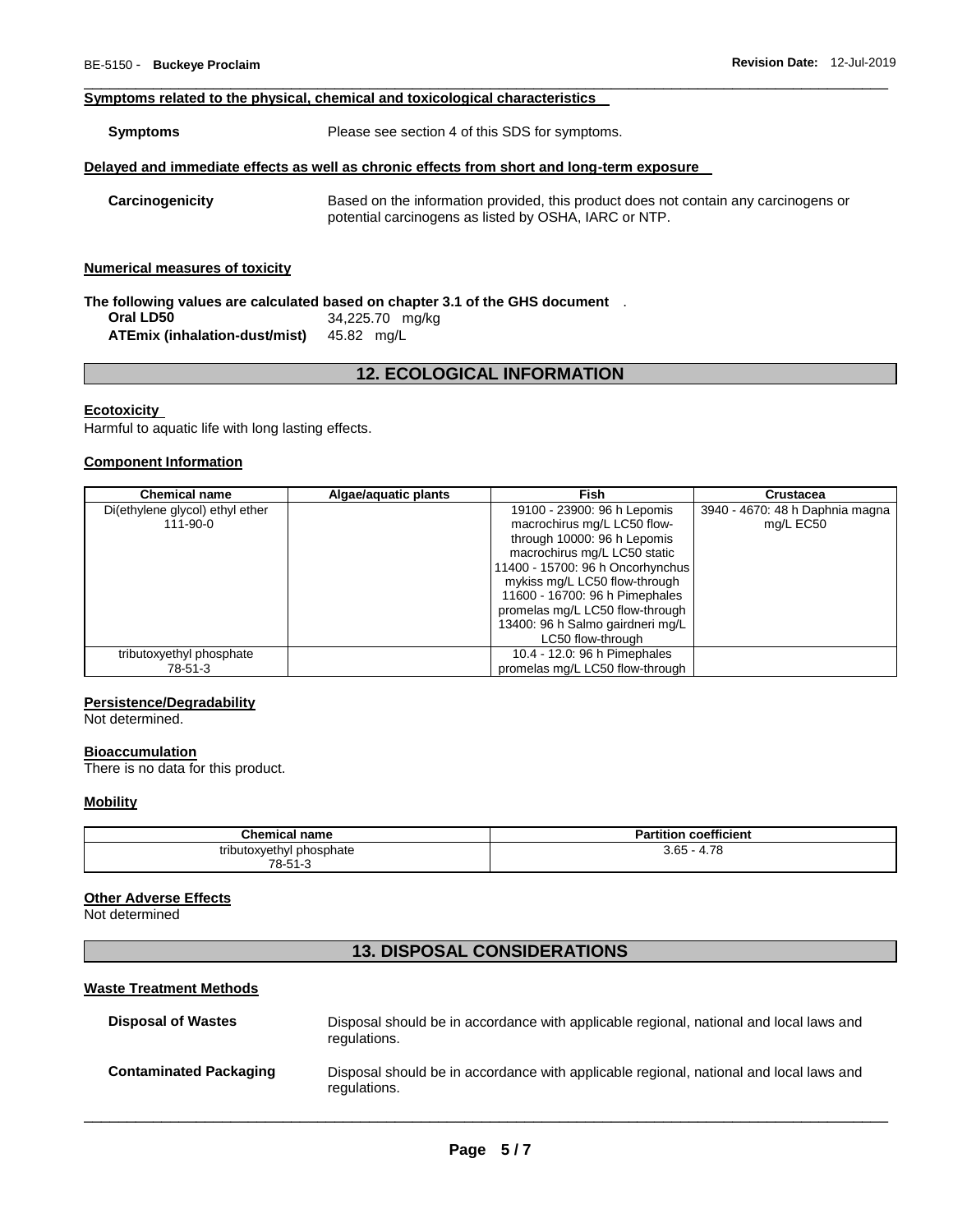#### **Symptoms related to the physical, chemical and toxicological characteristics**

**Symptoms** Please see section 4 of this SDS for symptoms.

#### **Delayed and immediate effects as well as chronic effects from short and long-term exposure**

**Carcinogenicity** Based on the information provided, this product does not contain any carcinogens or potential carcinogens as listed by OSHA, IARC or NTP.

\_\_\_\_\_\_\_\_\_\_\_\_\_\_\_\_\_\_\_\_\_\_\_\_\_\_\_\_\_\_\_\_\_\_\_\_\_\_\_\_\_\_\_\_\_\_\_\_\_\_\_\_\_\_\_\_\_\_\_\_\_\_\_\_\_\_\_\_\_\_\_\_\_\_\_\_\_\_\_\_\_\_\_\_\_\_\_\_\_\_\_\_\_

#### **Numerical measures of toxicity**

| The following values are calculated based on chapter 3.1 of the GHS document $\;\;$ . |                 |  |  |  |  |
|---------------------------------------------------------------------------------------|-----------------|--|--|--|--|
| Oral LD50                                                                             | 34,225.70 mg/kg |  |  |  |  |
| <b>ATEmix (inhalation-dust/mist)</b> 45.82 mg/L                                       |                 |  |  |  |  |

# **12. ECOLOGICAL INFORMATION**

#### **Ecotoxicity**

Harmful to aquatic life with long lasting effects.

#### **Component Information**

| <b>Chemical name</b>                              | Algae/aquatic plants | Fish                                                       | <b>Crustacea</b>                             |
|---------------------------------------------------|----------------------|------------------------------------------------------------|----------------------------------------------|
| Di(ethylene glycol) ethyl ether<br>$111 - 90 - 0$ |                      | 19100 - 23900: 96 h Lepomis<br>macrochirus mg/L LC50 flow- | 3940 - 4670: 48 h Daphnia magna<br>mg/L EC50 |
|                                                   |                      | through 10000: 96 h Lepomis                                |                                              |
|                                                   |                      | macrochirus mg/L LC50 static                               |                                              |
|                                                   |                      | 11400 - 15700: 96 h Oncorhynchus                           |                                              |
|                                                   |                      | mykiss mg/L LC50 flow-through                              |                                              |
|                                                   |                      | 11600 - 16700: 96 h Pimephales                             |                                              |
|                                                   |                      | promelas mg/L LC50 flow-through                            |                                              |
|                                                   |                      | 13400: 96 h Salmo gairdneri mg/L                           |                                              |
|                                                   |                      | LC50 flow-through                                          |                                              |
| tributoxyethyl phosphate                          |                      | 10.4 - 12.0: 96 h Pimephales                               |                                              |
| 78-51-3                                           |                      | promelas mg/L LC50 flow-through                            |                                              |

#### **Persistence/Degradability**

Not determined.

#### **Bioaccumulation**

There is no data for this product.

#### **Mobility**

| <b>Chemical name</b>     | rtition coefficient<br>ъ.<br>ан |  |  |
|--------------------------|---------------------------------|--|--|
| tributoxyethyl phosphate | 4.78                            |  |  |
| 78-51-3                  | $3.65 - 4$                      |  |  |

#### **Other Adverse Effects**

Not determined

# **13. DISPOSAL CONSIDERATIONS**

#### **Waste Treatment Methods**

| <b>Disposal of Wastes</b>     | Disposal should be in accordance with applicable regional, national and local laws and<br>regulations. |
|-------------------------------|--------------------------------------------------------------------------------------------------------|
| <b>Contaminated Packaging</b> | Disposal should be in accordance with applicable regional, national and local laws and<br>regulations. |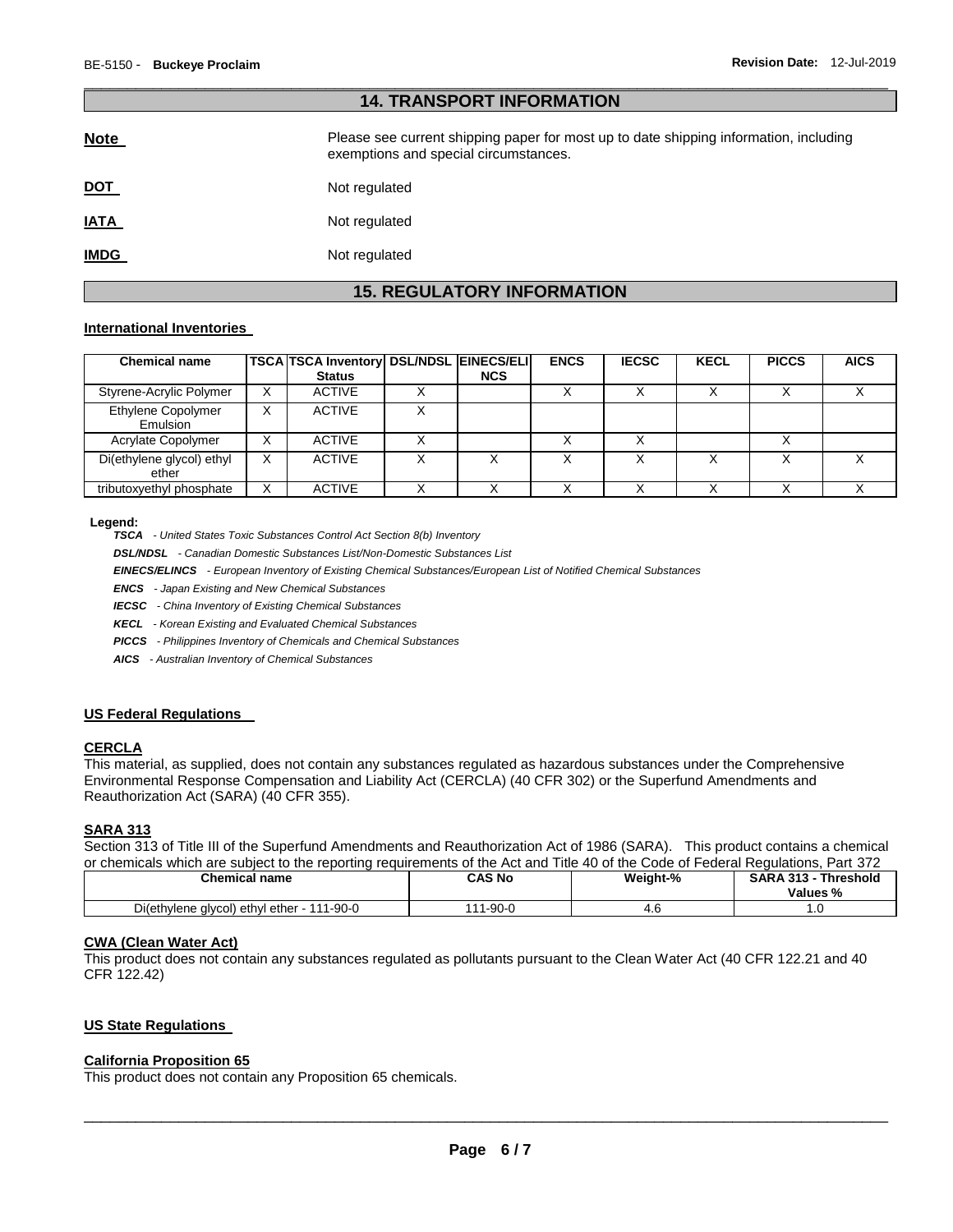| <b>14. TRANSPORT INFORMATION</b> |                                                                                                                                |  |  |  |  |
|----------------------------------|--------------------------------------------------------------------------------------------------------------------------------|--|--|--|--|
| <b>Note</b>                      | Please see current shipping paper for most up to date shipping information, including<br>exemptions and special circumstances. |  |  |  |  |
| <u>DOT</u>                       | Not regulated                                                                                                                  |  |  |  |  |
| <u>IATA</u>                      | Not regulated                                                                                                                  |  |  |  |  |
| <u>IMDG</u>                      | Not regulated                                                                                                                  |  |  |  |  |

\_\_\_\_\_\_\_\_\_\_\_\_\_\_\_\_\_\_\_\_\_\_\_\_\_\_\_\_\_\_\_\_\_\_\_\_\_\_\_\_\_\_\_\_\_\_\_\_\_\_\_\_\_\_\_\_\_\_\_\_\_\_\_\_\_\_\_\_\_\_\_\_\_\_\_\_\_\_\_\_\_\_\_\_\_\_\_\_\_\_\_\_\_

# **15. REGULATORY INFORMATION**

#### **International Inventories**

| <b>Chemical name</b>               |              | TSCA TSCA Inventory DSL/NDSL EINECS/ELI<br><b>Status</b> | <b>NCS</b> | <b>ENCS</b> | <b>IECSC</b> | <b>KECL</b> | <b>PICCS</b> | <b>AICS</b> |
|------------------------------------|--------------|----------------------------------------------------------|------------|-------------|--------------|-------------|--------------|-------------|
| Styrene-Acrylic Polymer            | X            | <b>ACTIVE</b>                                            |            |             |              |             |              |             |
| Ethylene Copolymer<br>Emulsion     | $\checkmark$ | <b>ACTIVE</b>                                            |            |             |              |             |              |             |
| Acrylate Copolymer                 | v            | <b>ACTIVE</b>                                            |            |             |              |             |              |             |
| Di(ethylene glycol) ethyl<br>ether | v            | <b>ACTIVE</b>                                            |            |             |              |             |              |             |
| tributoxyethyl phosphate           | $\checkmark$ | <b>ACTIVE</b>                                            |            |             |              |             |              |             |

#### **Legend:**

*TSCA - United States Toxic Substances Control Act Section 8(b) Inventory* 

*DSL/NDSL - Canadian Domestic Substances List/Non-Domestic Substances List* 

*EINECS/ELINCS - European Inventory of Existing Chemical Substances/European List of Notified Chemical Substances* 

*ENCS - Japan Existing and New Chemical Substances* 

*IECSC - China Inventory of Existing Chemical Substances* 

*KECL - Korean Existing and Evaluated Chemical Substances* 

*PICCS - Philippines Inventory of Chemicals and Chemical Substances* 

*AICS - Australian Inventory of Chemical Substances* 

#### **US Federal Regulations**

#### **CERCLA**

This material, as supplied, does not contain any substances regulated as hazardous substances under the Comprehensive Environmental Response Compensation and Liability Act (CERCLA) (40 CFR 302) or the Superfund Amendments and Reauthorization Act (SARA) (40 CFR 355).

#### **SARA 313**

Section 313 of Title III of the Superfund Amendments and Reauthorization Act of 1986 (SARA). This product contains a chemical or chemicals which are subject to the reporting requirements of the Act and Title 40 of the Code of Federal Regulations, Part 372

| <b>Chemical name</b>                            | CAS Nc       | Weight-% | <b>SARA 313</b><br><b>Threshold</b><br>Values % |
|-------------------------------------------------|--------------|----------|-------------------------------------------------|
| Di(ethylene glycol) ethyl ether - 1<br>111-90-0 | $1 - 90 - C$ | 4.U      | . .                                             |

#### **CWA (Clean Water Act)**

This product does not contain any substances regulated as pollutants pursuant to the Clean Water Act (40 CFR 122.21 and 40 CFR 122.42)

#### **US State Regulations**

#### **California Proposition 65**

This product does not contain any Proposition 65 chemicals.